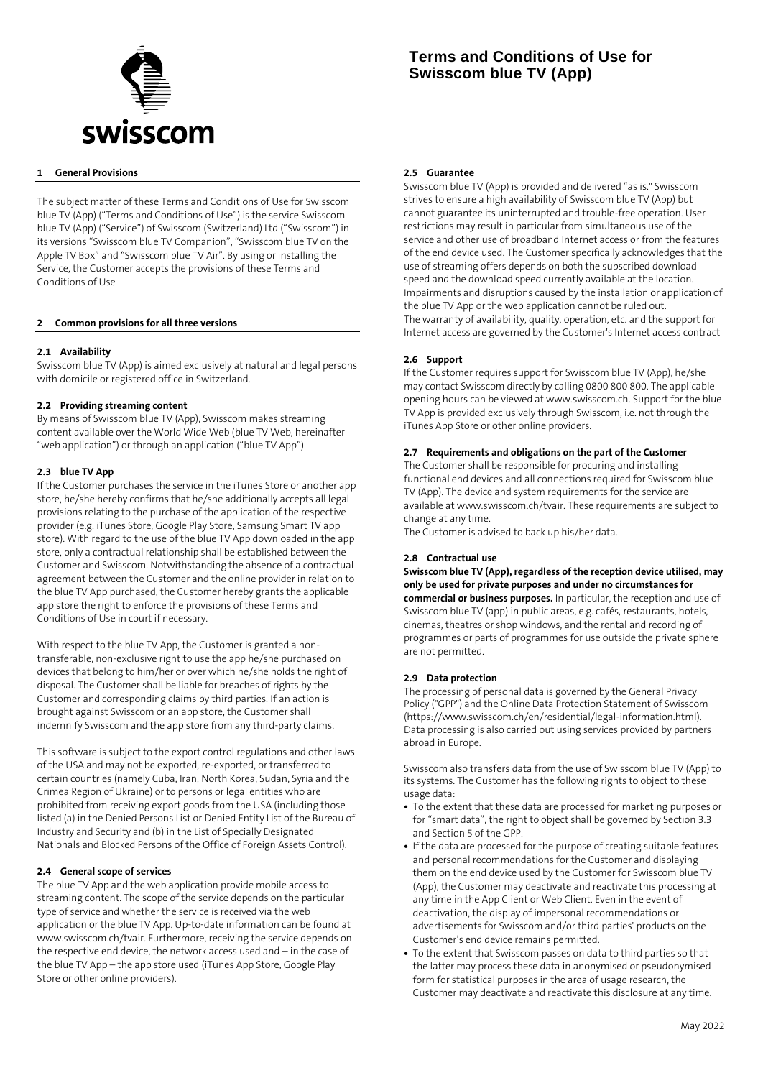

## **1 General Provisions**

The subject matter of these Terms and Conditions of Use for Swisscom blue TV (App) ("Terms and Conditions of Use") is the service Swisscom blue TV (App) ("Service") of Swisscom (Switzerland) Ltd ("Swisscom") in its versions "Swisscom blue TV Companion", "Swisscom blue TV on the Apple TV Box" and "Swisscom blue TV Air". By using or installing the Service, the Customer accepts the provisions of these Terms and Conditions of Use

#### **2 Common provisions for all three versions**

#### **2.1 Availability**

Swisscom blue TV (App) is aimed exclusively at natural and legal persons with domicile or registered office in Switzerland.

#### **2.2 Providing streaming content**

By means of Swisscom blue TV (App), Swisscom makes streaming content available over the World Wide Web (blue TV Web, hereinafter "web application") or through an application ("blue TV App").

#### **2.3 blue TV App**

If the Customer purchases the service in the iTunes Store or another app store, he/she hereby confirms that he/she additionally accepts all legal provisions relating to the purchase of the application of the respective provider (e.g. iTunes Store, Google Play Store, Samsung Smart TV app store). With regard to the use of the blue TV App downloaded in the app store, only a contractual relationship shall be established between the Customer and Swisscom. Notwithstanding the absence of a contractual agreement between the Customer and the online provider in relation to the blue TV App purchased, the Customer hereby grants the applicable app store the right to enforce the provisions of these Terms and Conditions of Use in court if necessary.

With respect to the blue TV App, the Customer is granted a nontransferable, non-exclusive right to use the app he/she purchased on devices that belong to him/her or over which he/she holds the right of disposal. The Customer shall be liable for breaches of rights by the Customer and corresponding claims by third parties. If an action is brought against Swisscom or an app store, the Customer shall indemnify Swisscom and the app store from any third-party claims.

This software is subject to the export control regulations and other laws of the USA and may not be exported, re-exported, or transferred to certain countries (namely Cuba, Iran, North Korea, Sudan, Syria and the Crimea Region of Ukraine) or to persons or legal entities who are prohibited from receiving export goods from the USA (including those listed (a) in the Denied Persons List or Denied Entity List of the Bureau of Industry and Security and (b) in the List of Specially Designated Nationals and Blocked Persons of the Office of Foreign Assets Control).

#### **2.4 General scope of services**

The blue TV App and the web application provide mobile access to streaming content. The scope of the service depends on the particular type of service and whether the service is received via the web application or the blue TV App. Up-to-date information can be found at www.swisscom.ch/tvair. Furthermore, receiving the service depends on the respective end device, the network access used and – in the case of the blue TV App – the app store used (iTunes App Store, Google Play Store or other online providers).

# **Terms and Conditions of Use for Swisscom blue TV (App)**

#### **2.5 Guarantee**

Swisscom blue TV (App) is provided and delivered "as is." Swisscom strives to ensure a high availability of Swisscom blue TV (App) but cannot guarantee its uninterrupted and trouble-free operation. User restrictions may result in particular from simultaneous use of the service and other use of broadband Internet access or from the features of the end device used. The Customer specifically acknowledges that the use of streaming offers depends on both the subscribed download speed and the download speed currently available at the location. Impairments and disruptions caused by the installation or application of the blue TV App or the web application cannot be ruled out. The warranty of availability, quality, operation, etc. and the support for Internet access are governed by the Customer's Internet access contract

#### **2.6 Support**

If the Customer requires support for Swisscom blue TV (App), he/she may contact Swisscom directly by calling 0800 800 800. The applicable opening hours can be viewed at www.swisscom.ch. Support for the blue TV App is provided exclusively through Swisscom, i.e. not through the iTunes App Store or other online providers.

#### **2.7 Requirements and obligations on the part of the Customer**

The Customer shall be responsible for procuring and installing functional end devices and all connections required for Swisscom blue TV (App). The device and system requirements for the service are available at www.swisscom.ch/tvair. These requirements are subject to change at any time.

The Customer is advised to back up his/her data.

### **2.8 Contractual use**

**Swisscom blue TV (App), regardless of the reception device utilised, may only be used for private purposes and under no circumstances for commercial or business purposes.** In particular, the reception and use of Swisscom blue TV (app) in public areas, e.g. cafés, restaurants, hotels, cinemas, theatres or shop windows, and the rental and recording of programmes or parts of programmes for use outside the private sphere are not permitted.

#### **2.9 Data protection**

The processing of personal data is governed by the General Privacy Policy ("GPP") and the Online Data Protection Statement of Swisscom (https://www.swisscom.ch/en/residential/legal-information.html). Data processing is also carried out using services provided by partners abroad in Europe.

Swisscom also transfers data from the use of Swisscom blue TV (App) to its systems. The Customer has the following rights to object to these usage data:

- **•** To the extent that these data are processed for marketing purposes or for "smart data", the right to object shall be governed by Section 3.3 and Section 5 of the GPP.
- **•** If the data are processed for the purpose of creating suitable features and personal recommendations for the Customer and displaying them on the end device used by the Customer for Swisscom blue TV (App), the Customer may deactivate and reactivate this processing at any time in the App Client or Web Client. Even in the event of deactivation, the display of impersonal recommendations or advertisements for Swisscom and/or third parties' products on the Customer's end device remains permitted.
- **•** To the extent that Swisscom passes on data to third parties so that the latter may process these data in anonymised or pseudonymised form for statistical purposes in the area of usage research, the Customer may deactivate and reactivate this disclosure at any time.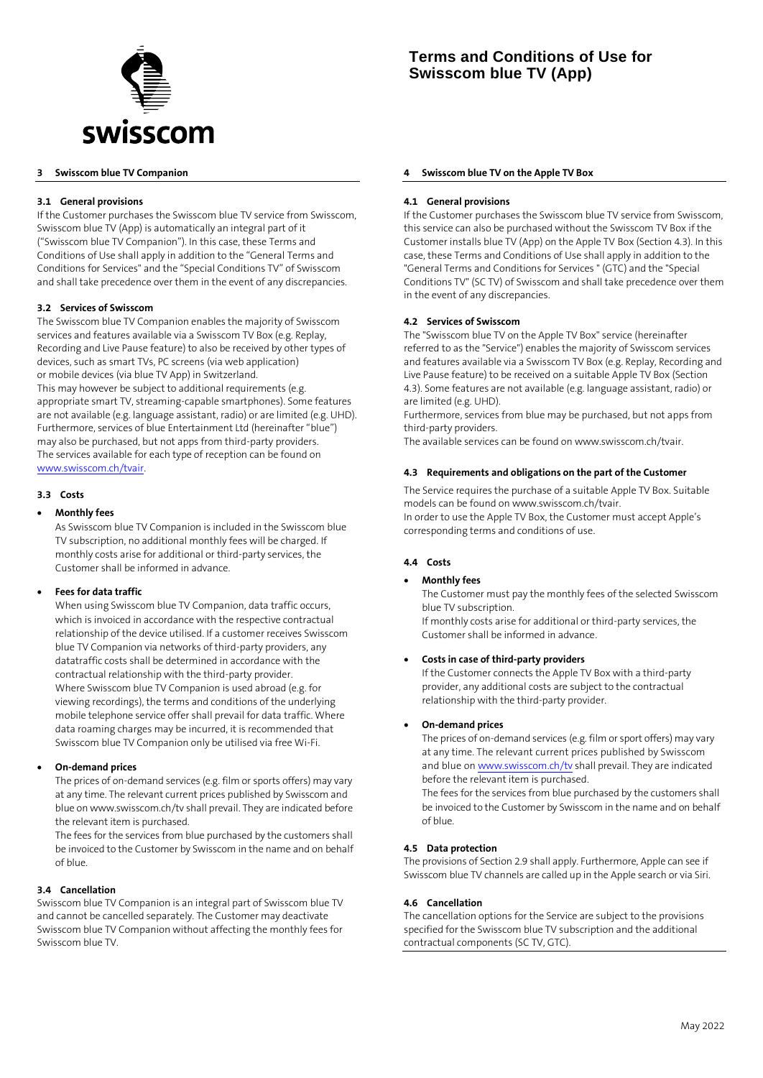

# **3 Swisscom blue TV Companion**

## **3.1 General provisions**

If the Customer purchases the Swisscom blue TV service from Swisscom, Swisscom blue TV (App) is automatically an integral part of it ("Swisscom blue TV Companion"). In this case, these Terms and Conditions of Use shall apply in addition to the "General Terms and Conditions for Services" and the "Special Conditions TV" of Swisscom and shall take precedence over them in the event of any discrepancies.

#### **3.2 Services of Swisscom**

The Swisscom blue TV Companion enables the majority of Swisscom services and features available via a Swisscom TV Box (e.g. Replay, Recording and Live Pause feature) to also be received by other types of devices, such as smart TVs, PC screens (via web application) or mobile devices (via blue TV App) in Switzerland. This may however be subject to additional requirements (e.g. appropriate smart TV, streaming-capable smartphones). Some features are not available (e.g. language assistant, radio) or are limited (e.g. UHD). Furthermore, services of blue Entertainment Ltd (hereinafter "blue") may also be purchased, but not apps from third-party providers. The services available for each type of reception can be found on [www.swisscom.ch/tvair.](http://www.swisscom.ch/tvair)

# **3.3 Costs**

## • **Monthly fees**

As Swisscom blue TV Companion is included in the Swisscom blue TV subscription, no additional monthly fees will be charged. If monthly costs arise for additional or third-party services, the Customer shall be informed in advance.

#### • **Fees for data traffic**

When using Swisscom blue TV Companion, data traffic occurs, which is invoiced in accordance with the respective contractual relationship of the device utilised. If a customer receives Swisscom blue TV Companion via networks of third-party providers, any datatraffic costs shall be determined in accordance with the contractual relationship with the third-party provider. Where Swisscom blue TV Companion is used abroad (e.g. for viewing recordings), the terms and conditions of the underlying mobile telephone service offer shall prevail for data traffic. Where data roaming charges may be incurred, it is recommended that Swisscom blue TV Companion only be utilised via free Wi-Fi.

#### • **On-demand prices**

The prices of on-demand services (e.g. film or sports offers) may vary at any time. The relevant current prices published by Swisscom and blue on www.swisscom.ch/tv shall prevail. They are indicated before the relevant item is purchased.

The fees for the services from blue purchased by the customers shall be invoiced to the Customer by Swisscom in the name and on behalf of blue.

#### **3.4 Cancellation**

Swisscom blue TV Companion is an integral part of Swisscom blue TV and cannot be cancelled separately. The Customer may deactivate Swisscom blue TV Companion without affecting the monthly fees for Swisscom blue TV.

#### **4 Swisscom blue TV on the Apple TV Box**

#### **4.1 General provisions**

If the Customer purchases the Swisscom blue TV service from Swisscom, this service can also be purchased without the Swisscom TV Box if the Customer installs blue TV (App) on the Apple TV Box (Section 4.3). In this case, these Terms and Conditions of Use shall apply in addition to the "General Terms and Conditions for Services " (GTC) and the "Special Conditions TV" (SC TV) of Swisscom and shall take precedence over them in the event of any discrepancies.

#### **4.2 Services of Swisscom**

The "Swisscom blue TV on the Apple TV Box" service (hereinafter referred to as the "Service") enables the majority of Swisscom services and features available via a Swisscom TV Box (e.g. Replay, Recording and Live Pause feature) to be received on a suitable Apple TV Box (Section 4.3). Some features are not available (e.g. language assistant, radio) or are limited (e.g. UHD).

Furthermore, services from blue may be purchased, but not apps from third-party providers.

The available services can be found on www.swisscom.ch/tvair.

#### **4.3 Requirements and obligations on the part of the Customer**

The Service requires the purchase of a suitable Apple TV Box. Suitable models can be found on www.swisscom.ch/tvair. In order to use the Apple TV Box, the Customer must accept Apple's corresponding terms and conditions of use.

#### **4.4 Costs**

# • **Monthly fees**

The Customer must pay the monthly fees of the selected Swisscom blue TV subscription.

If monthly costs arise for additional or third-party services, the Customer shall be informed in advance.

#### • **Costs in case of third-party providers**

If the Customer connects the Apple TV Box with a third-party provider, any additional costs are subject to the contractual relationship with the third-party provider.

#### • **On-demand prices**

The prices of on-demand services (e.g. film or sport offers) may vary at any time. The relevant current prices published by Swisscom and blue o[n www.swisscom.ch/tv](http://www.swisscom.ch/tv) shall prevail. They are indicated before the relevant item is purchased. The fees for the services from blue purchased by the customers shall

be invoiced to the Customer by Swisscom in the name and on behalf of blue.

## **4.5 Data protection**

The provisions of Section 2.9 shall apply. Furthermore, Apple can see if Swisscom blue TV channels are called up in the Apple search or via Siri.

#### **4.6 Cancellation**

The cancellation options for the Service are subject to the provisions specified for the Swisscom blue TV subscription and the additional contractual components (SC TV, GTC).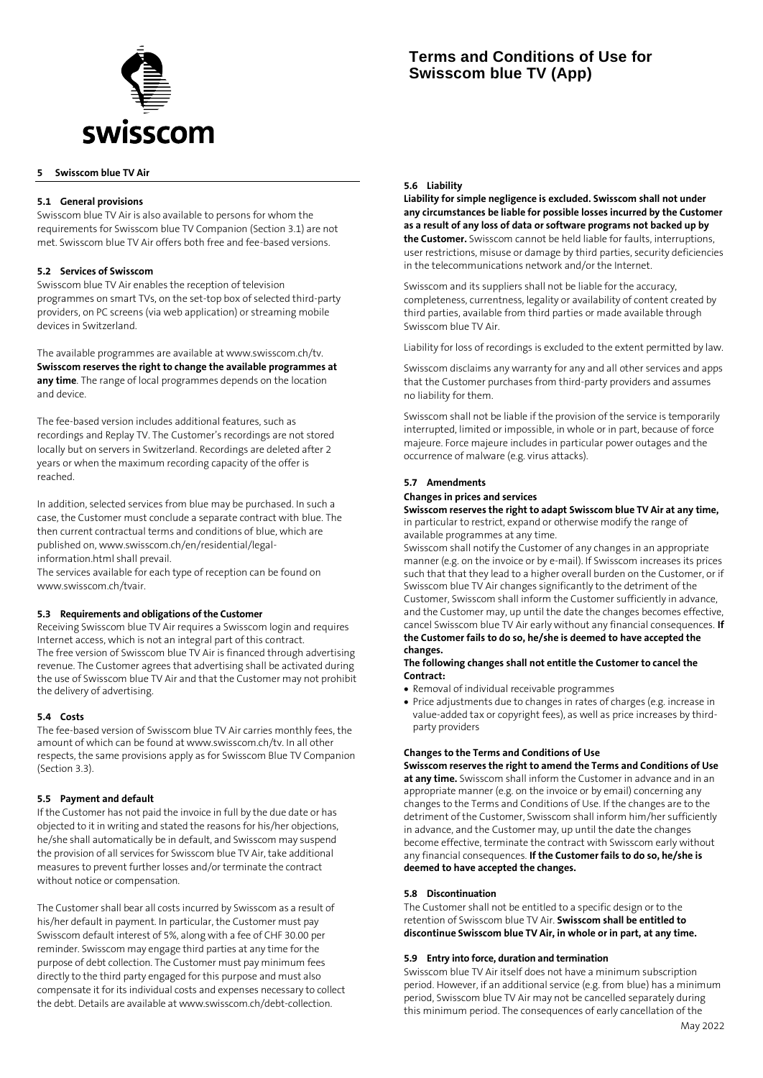

# **Terms and Conditions of Use for Swisscom blue TV (App)**

# **5 Swisscom blue TV Air**

## **5.1 General provisions**

Swisscom blue TV Air is also available to persons for whom the requirements for Swisscom blue TV Companion (Section 3.1) are not met. Swisscom blue TV Air offers both free and fee-based versions.

## **5.2 Services of Swisscom**

Swisscom blue TV Air enables the reception of television programmes on smart TVs, on the set-top box of selected third-party providers, on PC screens (via web application) or streaming mobile devices in Switzerland.

The available programmes are available at www.swisscom.ch/tv. **Swisscom reserves the right to change the available programmes at any time**. The range of local programmes depends on the location and device.

The fee-based version includes additional features, such as recordings and Replay TV. The Customer's recordings are not stored locally but on servers in Switzerland. Recordings are deleted after 2 years or when the maximum recording capacity of the offer is reached.

In addition, selected services from blue may be purchased. In such a case, the Customer must conclude a separate contract with blue. The then current contractual terms and conditions of blue, which are published on, www.swisscom.ch/en/residential/legalinformation.html shall prevail.

The services available for each type of reception can be found on www.swisscom.ch/tvair.

#### **5.3 Requirements and obligations of the Customer**

Receiving Swisscom blue TV Air requires a Swisscom login and requires Internet access, which is not an integral part of this contract. The free version of Swisscom blue TV Air is financed through advertising revenue. The Customer agrees that advertising shall be activated during the use of Swisscom blue TV Air and that the Customer may not prohibit the delivery of advertising.

#### **5.4 Costs**

The fee-based version of Swisscom blue TV Air carries monthly fees, the amount of which can be found at www.swisscom.ch/tv. In all other respects, the same provisions apply as for Swisscom Blue TV Companion (Section 3.3).

#### **5.5 Payment and default**

If the Customer has not paid the invoice in full by the due date or has objected to it in writing and stated the reasons for his/her objections, he/she shall automatically be in default, and Swisscom may suspend the provision of all services for Swisscom blue TV Air, take additional measures to prevent further losses and/or terminate the contract without notice or compensation.

The Customer shall bear all costs incurred by Swisscom as a result of his/her default in payment. In particular, the Customer must pay Swisscom default interest of 5%, along with a fee of CHF 30.00 per reminder. Swisscom may engage third parties at any time for the purpose of debt collection. The Customer must pay minimum fees directly to the third party engaged for this purpose and must also compensate it for its individual costs and expenses necessary to collect the debt. Details are available at www.swisscom.ch/debt-collection.

#### **5.6 Liability**

**Liability for simple negligence is excluded. Swisscom shall not under any circumstances be liable for possible losses incurred by the Customer as a result of any loss of data or software programs not backed up by the Customer.** Swisscom cannot be held liable for faults, interruptions, user restrictions, misuse or damage by third parties, security deficiencies in the telecommunications network and/or the Internet.

Swisscom and its suppliers shall not be liable for the accuracy, completeness, currentness, legality or availability of content created by third parties, available from third parties or made available through Swisscom blue TV Air.

Liability for loss of recordings is excluded to the extent permitted by law.

Swisscom disclaims any warranty for any and all other services and apps that the Customer purchases from third-party providers and assumes no liability for them.

Swisscom shall not be liable if the provision of the service is temporarily interrupted, limited or impossible, in whole or in part, because of force majeure. Force majeure includes in particular power outages and the occurrence of malware (e.g. virus attacks).

#### **5.7 Amendments**

## **Changes in prices and services**

**Swisscom reserves the right to adapt Swisscom blue TV Air at any time,**  in particular to restrict, expand or otherwise modify the range of available programmes at any time.

Swisscom shall notify the Customer of any changes in an appropriate manner (e.g. on the invoice or by e-mail). If Swisscom increases its prices such that that they lead to a higher overall burden on the Customer, or if Swisscom blue TV Air changes significantly to the detriment of the Customer, Swisscom shall inform the Customer sufficiently in advance, and the Customer may, up until the date the changes becomes effective, cancel Swisscom blue TV Air early without any financial consequences. **If the Customer fails to do so, he/she is deemed to have accepted the changes.**

#### **The following changes shall not entitle the Customer to cancel the Contract:**

- Removal of individual receivable programmes
- Price adjustments due to changes in rates of charges (e.g. increase in value-added tax or copyright fees), as well as price increases by thirdparty providers

# **Changes to the Terms and Conditions of Use**

**Swisscom reserves the right to amend the Terms and Conditions of Use at any time.** Swisscom shall inform the Customer in advance and in an appropriate manner (e.g. on the invoice or by email) concerning any changes to the Terms and Conditions of Use. If the changes are to the detriment of the Customer, Swisscom shall inform him/her sufficiently in advance, and the Customer may, up until the date the changes become effective, terminate the contract with Swisscom early without any financial consequences. **If the Customer fails to do so, he/she is deemed to have accepted the changes.**

#### **5.8 Discontinuation**

The Customer shall not be entitled to a specific design or to the retention of Swisscom blue TV Air. **Swisscom shall be entitled to discontinue Swisscom blue TV Air, in whole or in part, at any time.**

#### **5.9 Entry into force, duration and termination**

Swisscom blue TV Air itself does not have a minimum subscription period. However, if an additional service (e.g. from blue) has a minimum period, Swisscom blue TV Air may not be cancelled separately during this minimum period. The consequences of early cancellation of the